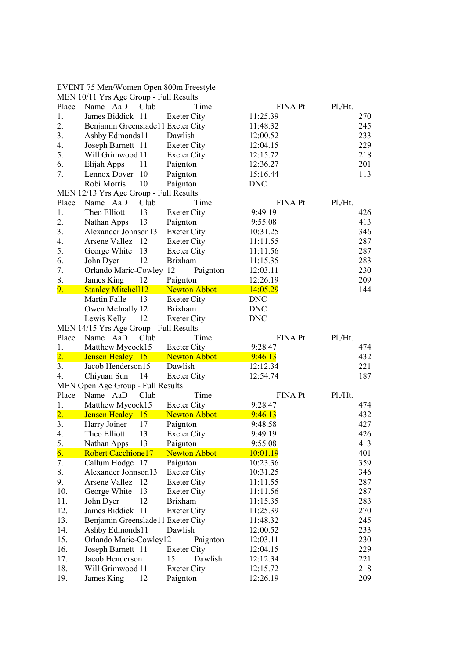|                  | EVENT 75 Men/Women Open 800m Freestyle |                     |                 |         |
|------------------|----------------------------------------|---------------------|-----------------|---------|
|                  | MEN 10/11 Yrs Age Group - Full Results |                     |                 |         |
| Place            | Name AaD<br>Club                       | Time                | FINA Pt         | Pl./Ht. |
| 1.               | James Biddick 11                       | <b>Exeter City</b>  | 11:25.39        | 270     |
| 2.               | Benjamin Greenslade11 Exeter City      |                     | 11:48.32        | 245     |
| 3.               | Ashby Edmonds11                        | Dawlish             | 12:00.52        | 233     |
| 4.               | Joseph Barnett 11                      | <b>Exeter City</b>  | 12:04.15        | 229     |
| 5.               | Will Grimwood 11                       | Exeter City         | 12:15.72        | 218     |
| 6.               | 11<br>Elijah Apps                      | Paignton            | 12:36.27        | 201     |
| 7.               | Lennox Dover 10                        | Paignton            | 15:16.44        | 113     |
|                  | Robi Morris<br>10                      | Paignton            | <b>DNC</b>      |         |
|                  | MEN 12/13 Yrs Age Group - Full Results |                     |                 |         |
| Place            | Name AaD<br>Club                       | Time                | FINA Pt         | Pl./Ht. |
| 1.               | Theo Elliott<br>13                     | <b>Exeter City</b>  | 9:49.19         | 426     |
| 2.               | 13<br>Nathan Apps                      | Paignton            | 9:55.08         | 413     |
| 3.               | Alexander Johnson13                    | <b>Exeter City</b>  | 10:31.25        | 346     |
| 4.               | Arsene Vallez 12                       | <b>Exeter City</b>  | 11:11.55        | 287     |
| 5.               | George White<br>13                     | <b>Exeter City</b>  | 11:11.56        | 287     |
| 6.               | 12<br>John Dyer                        | <b>Brixham</b>      | 11:15.35        | 283     |
| 7.               | Orlando Maric-Cowley 12                | Paignton            | 12:03.11        | 230     |
| 8.               | James King<br>12                       | Paignton            | 12:26.19        | 209     |
| 9.               | <b>Stanley Mitchell12</b>              | <b>Newton Abbot</b> | 14:05.29        | 144     |
|                  | Martin Falle<br>13                     | Exeter City         | <b>DNC</b>      |         |
|                  | Owen McInally 12                       | <b>Brixham</b>      | <b>DNC</b>      |         |
|                  | Lewis Kelly<br>12                      | Exeter City         | <b>DNC</b>      |         |
|                  | MEN 14/15 Yrs Age Group - Full Results |                     |                 |         |
|                  |                                        |                     |                 |         |
|                  |                                        |                     |                 |         |
| Place            | Club<br>Name AaD                       | Time                | FINA Pt         | Pl./Ht. |
| 1.               | Matthew Mycock15                       | <b>Exeter City</b>  | 9:28.47         | 474     |
| $\overline{2}$ . | Jensen Healey 15                       | <b>Newton Abbot</b> | 9:46.13         | 432     |
| 3.               | Jacob Henderson15                      | Dawlish             | 12:12.34        | 221     |
| 4.               | Chiyuan Sun<br>14                      | <b>Exeter City</b>  | 12:54.74        | 187     |
|                  | MEN Open Age Group - Full Results      |                     |                 |         |
| Place            | Name AaD<br>Club                       | Time                | FINA Pt         | Pl.Ht.  |
| 1.               | Matthew Mycock15                       | <b>Exeter City</b>  | 9:28.47         | 474     |
| $\overline{2}$ . | Jensen Healey 15                       | <b>Newton Abbot</b> | 9:46.13         | 432     |
| 3.               | Harry Joiner<br>17                     | Paignton            | 9:48.58         | 427     |
| 4.               | Theo Elliott<br>13                     | <b>Exeter City</b>  | 9:49.19         | 426     |
| 5.               | Nathan Apps<br>13                      | Paignton            | 9:55.08         | 413     |
| 6.               | <b>Robert Cacchione17</b>              | <b>Newton Abbot</b> | <u>10:01.19</u> | 401     |
| 7.               | Callum Hodge 17                        | Paignton            | 10:23.36        | 359     |
| 8.               | Alexander Johnson13                    | <b>Exeter City</b>  | 10:31.25        | 346     |
| 9.               | Arsene Vallez<br>12                    | <b>Exeter City</b>  | 11:11.55        | 287     |
| 10.              | George White<br>13                     | <b>Exeter City</b>  | 11:11.56        | 287     |
| 11.              | John Dyer<br>12                        | <b>Brixham</b>      | 11:15.35        | 283     |
| 12.              | James Biddick 11                       | <b>Exeter City</b>  | 11:25.39        | 270     |
| 13.              | Benjamin Greenslade11 Exeter City      |                     | 11:48.32        | 245     |
| 14.              | Ashby Edmonds11                        | Dawlish             | 12:00.52        | 233     |
| 15.              | Orlando Maric-Cowley12                 | Paignton            | 12:03.11        | 230     |
| 16.              | Joseph Barnett 11                      | <b>Exeter City</b>  | 12:04.15        | 229     |
| 17.              | Jacob Henderson                        | 15<br>Dawlish       | 12:12.34        | 221     |
| 18.              | Will Grimwood 11                       | <b>Exeter City</b>  | 12:15.72        | 218     |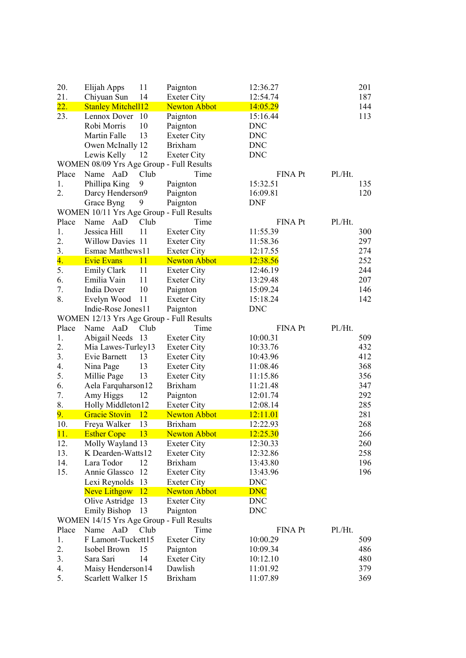| 20.   | Elijah Apps                              | 11   | Paignton            | 12:36.27                  | 201 |
|-------|------------------------------------------|------|---------------------|---------------------------|-----|
| 21.   | Chiyuan Sun                              | 14   | <b>Exeter City</b>  | 12:54.74                  | 187 |
| 22.   | <b>Stanley Mitchell12</b>                |      | <b>Newton Abbot</b> | 14:05.29                  | 144 |
| 23.   | Lennox Dover                             | 10   | Paignton            | 15:16.44                  | 113 |
|       | Robi Morris                              | 10   | Paignton            | <b>DNC</b>                |     |
|       | Martin Falle                             | 13   | <b>Exeter City</b>  | <b>DNC</b>                |     |
|       | Owen McInally 12                         |      | <b>Brixham</b>      | <b>DNC</b>                |     |
|       | Lewis Kelly                              | 12   | <b>Exeter City</b>  | <b>DNC</b>                |     |
|       | WOMEN 08/09 Yrs Age Group - Full Results |      |                     |                           |     |
| Place | Name AaD                                 | Club | Time                | Pl./Ht.<br><b>FINA Pt</b> |     |
| 1.    | Phillipa King                            | 9    | Paignton            | 15:32.51                  | 135 |
| 2.    | Darcy Henderson9                         |      | Paignton            | 16:09.81                  | 120 |
|       | Grace Byng                               | 9    | Paignton            | <b>DNF</b>                |     |
|       | WOMEN 10/11 Yrs Age Group - Full Results |      |                     |                           |     |
| Place | Name AaD                                 | Club | Time                | <b>FINA Pt</b><br>Pl.Ht.  |     |
| 1.    | Jessica Hill                             | 11   | <b>Exeter City</b>  | 11:55.39                  | 300 |
| 2.    | Willow Davies 11                         |      | <b>Exeter City</b>  | 11:58.36                  | 297 |
| 3.    | Esmae Matthews11                         |      | <b>Exeter City</b>  | 12:17.55                  | 274 |
| 4.    | <b>Evie Evans</b>                        | 11   | <b>Newton Abbot</b> | 12:38.56                  | 252 |
| 5.    | Emily Clark                              | 11   | <b>Exeter City</b>  | 12:46.19                  | 244 |
| 6.    | Emilia Vain                              | 11   | Exeter City         | 13:29.48                  | 207 |
| 7.    | India Dover                              | 10   | Paignton            | 15:09.24                  | 146 |
| 8.    | Evelyn Wood                              | 11   | <b>Exeter City</b>  | 15:18.24                  | 142 |
|       | Indie-Rose Jones11                       |      | Paignton            | <b>DNC</b>                |     |
|       | WOMEN 12/13 Yrs Age Group - Full Results |      |                     |                           |     |
| Place | Name AaD                                 | Club | Time                | FINA Pt<br>Pl.Ht.         |     |
| 1.    | Abigail Needs 13                         |      | <b>Exeter City</b>  | 10:00.31                  | 509 |
| 2.    | Mia Lawes-Turley13                       |      | <b>Exeter City</b>  | 10:33.76                  | 432 |
| 3.    | Evie Barnett                             | 13   | <b>Exeter City</b>  | 10:43.96                  | 412 |
| 4.    | Nina Page                                | 13   | Exeter City         | 11:08.46                  | 368 |
| 5.    | Millie Page                              | 13   | Exeter City         | 11:15.86                  | 356 |
| 6.    | Aela Farquharson12                       |      | <b>Brixham</b>      | 11:21.48                  | 347 |
| 7.    | Amy Higgs                                | 12   | Paignton            | 12:01.74                  | 292 |
| 8.    | Holly Middleton12                        |      | <b>Exeter City</b>  | 12:08.14                  | 285 |
| 9.    | <b>Gracie Stovin</b>                     | 12   | <b>Newton Abbot</b> | 12:11.01                  | 281 |
| 10.   | Freya Walker                             | 13   | <b>Brixham</b>      | 12:22.93                  | 268 |
| 11.   | <b>Esther Cope</b>                       | 13   | <b>Newton Abbot</b> | 12:25.30                  | 266 |
| 12.   | Molly Wayland 13                         |      | Exeter City         | 12:30.33                  | 260 |
| 13.   | K Dearden-Watts12                        |      | <b>Exeter City</b>  | 12:32.86                  | 258 |
| 14.   | Lara Todor                               | 12   | <b>Brixham</b>      | 13:43.80                  | 196 |
| 15.   | Annie Glassco                            | 12   | <b>Exeter City</b>  | 13:43.96                  | 196 |
|       | Lexi Reynolds                            | 13   | <b>Exeter City</b>  | <b>DNC</b>                |     |
|       | Neve Lithgow                             | 12   | <b>Newton Abbot</b> | <b>DNC</b>                |     |
|       | Olive Astridge                           | 13   | <b>Exeter City</b>  | <b>DNC</b>                |     |
|       | <b>Emily Bishop</b>                      | 13   | Paignton            | <b>DNC</b>                |     |
|       | WOMEN 14/15 Yrs Age Group - Full Results |      |                     |                           |     |
| Place | Name AaD                                 | Club | Time                | Pl./Ht.<br><b>FINA Pt</b> |     |
| 1.    | F Lamont-Tuckett15                       |      | <b>Exeter City</b>  | 10:00.29                  | 509 |
| 2.    | Isobel Brown                             | 15   | Paignton            | 10:09.34                  | 486 |
| 3.    | Sara Sari                                | 14   | <b>Exeter City</b>  | 10:12.10                  | 480 |
| 4.    | Maisy Henderson14                        |      | Dawlish             | 11:01.92                  | 379 |
| 5.    | Scarlett Walker 15                       |      | <b>Brixham</b>      | 11:07.89                  | 369 |